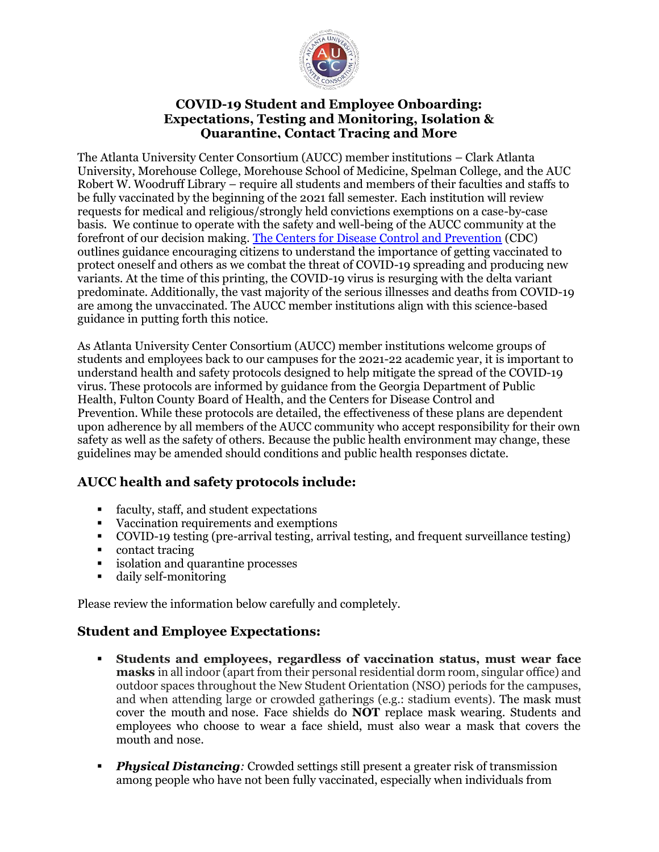

### **COVID-19 Student and Employee Onboarding: Expectations, Testing and Monitoring, Isolation & Quarantine, Contact Tracing and More**

The Atlanta University Center Consortium (AUCC) member institutions – Clark Atlanta University, Morehouse College, Morehouse School of Medicine, Spelman College, and the AUC Robert W. Woodruff Library – require all students and members of their faculties and staffs to be fully vaccinated by the beginning of the 2021 fall semester. Each institution will review requests for medical and religious/strongly held convictions exemptions on a case-by-case basis. We continue to operate with the safety and well-being of the AUCC community at the forefront of our decision making. [The Centers for Disease Control and Prevention](https://www.cdc.gov/coronavirus/2019-ncov/vaccines/vaccine-benefits.html) (CDC) outlines guidance encouraging citizens to understand the importance of getting vaccinated to protect oneself and others as we combat the threat of COVID-19 spreading and producing new variants. At the time of this printing, the COVID-19 virus is resurging with the delta variant predominate. Additionally, the vast majority of the serious illnesses and deaths from COVID-19 are among the unvaccinated. The AUCC member institutions align with this science-based guidance in putting forth this notice.

As Atlanta University Center Consortium (AUCC) member institutions welcome groups of students and employees back to our campuses for the 2021-22 academic year, it is important to understand health and safety protocols designed to help mitigate the spread of the COVID-19 virus. These protocols are informed by guidance from the Georgia Department of Public Health, Fulton County Board of Health, and the Centers for Disease Control and Prevention. While these protocols are detailed, the effectiveness of these plans are dependent upon adherence by all members of the AUCC community who accept responsibility for their own safety as well as the safety of others. Because the public health environment may change, these guidelines may be amended should conditions and public health responses dictate.

# **AUCC health and safety protocols include:**

- faculty, staff, and student expectations
- Vaccination requirements and exemptions
- COVID-19 testing (pre-arrival testing, arrival testing, and frequent surveillance testing)
- contact tracing
- isolation and quarantine processes
- daily self-monitoring

Please review the information below carefully and completely.

### **Student and Employee Expectations:**

- **Students and employees, regardless of vaccination status, must wear face masks** in all indoor (apart from their personal residential dorm room, singular office) and outdoor spaces throughout the New Student Orientation (NSO) periods for the campuses, and when attending large or crowded gatherings (e.g.: stadium events). The mask must cover the mouth and nose. Face shields do **NOT** replace mask wearing. Students and employees who choose to wear a face shield, must also wear a mask that covers the mouth and nose.
- **Physical Distancing**: Crowded settings still present a greater risk of transmission among people who have not been fully vaccinated, especially when individuals from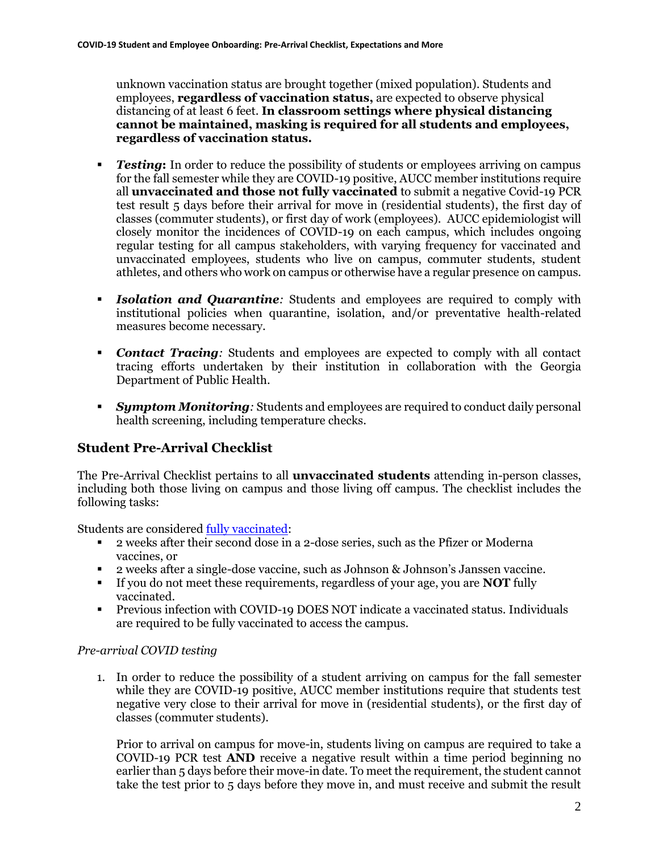unknown vaccination status are brought together (mixed population). Students and employees, **regardless of vaccination status,** are expected to observe physical distancing of at least 6 feet. **In classroom settings where physical distancing cannot be maintained, masking is required for all students and employees, regardless of vaccination status.** 

- *Testing*: In order to reduce the possibility of students or employees arriving on campus for the fall semester while they are COVID-19 positive, AUCC member institutions require all **unvaccinated and those not fully vaccinated** to submit a negative Covid-19 PCR test result 5 days before their arrival for move in (residential students), the first day of classes (commuter students), or first day of work (employees). AUCC epidemiologist will closely monitor the incidences of COVID-19 on each campus, which includes ongoing regular testing for all campus stakeholders, with varying frequency for vaccinated and unvaccinated employees, students who live on campus, commuter students, student athletes, and others who work on campus or otherwise have a regular presence on campus.
- **Example 1 Isolation and Quarantine**: Students and employees are required to comply with institutional policies when quarantine, isolation, and/or preventative health-related measures become necessary.
- *Contact Tracing*: Students and employees are expected to comply with all contact tracing efforts undertaken by their institution in collaboration with the Georgia Department of Public Health.
- **Examptom** *Monitoring*: Students and employees are required to conduct daily personal health screening, including temperature checks.

# **Student Pre-Arrival Checklist**

The Pre-Arrival Checklist pertains to all **unvaccinated students** attending in-person classes, including both those living on campus and those living off campus. The checklist includes the following tasks:

Students are considered [fully vaccinated:](https://www.cdc.gov/coronavirus/2019-ncov/vaccines/fully-vaccinated.html)

- 2 weeks after their second dose in a 2-dose series, such as the Pfizer or Moderna vaccines, or
- 2 weeks after a single-dose vaccine, such as Johnson & Johnson's Janssen vaccine.
- If you do not meet these requirements, regardless of your age, you are **NOT** fully vaccinated.
- Previous infection with COVID-19 DOES NOT indicate a vaccinated status. Individuals are required to be fully vaccinated to access the campus.

#### *Pre-arrival COVID testing*

1. In order to reduce the possibility of a student arriving on campus for the fall semester while they are COVID-19 positive, AUCC member institutions require that students test negative very close to their arrival for move in (residential students), or the first day of classes (commuter students).

Prior to arrival on campus for move-in, students living on campus are required to take a COVID-19 PCR test **AND** receive a negative result within a time period beginning no earlier than 5 days before their move-in date. To meet the requirement, the student cannot take the test prior to 5 days before they move in, and must receive and submit the result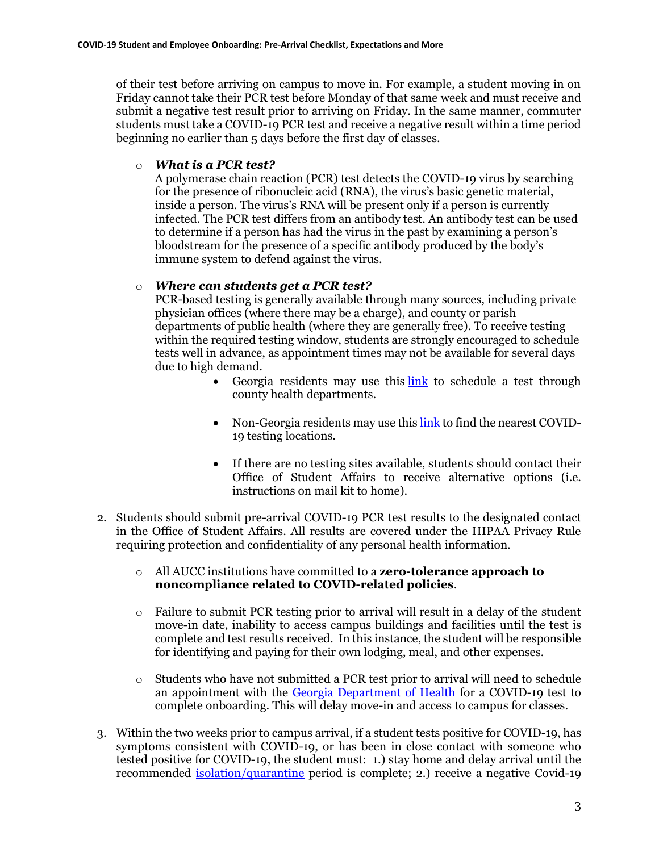of their test before arriving on campus to move in. For example, a student moving in on Friday cannot take their PCR test before Monday of that same week and must receive and submit a negative test result prior to arriving on Friday. In the same manner, commuter students must take a COVID-19 PCR test and receive a negative result within a time period beginning no earlier than 5 days before the first day of classes.

#### o *What is a PCR test?*

A polymerase chain reaction (PCR) test detects the COVID-19 virus by searching for the presence of ribonucleic acid (RNA), the virus's basic genetic material, inside a person. The virus's RNA will be present only if a person is currently infected. The PCR test differs from an antibody test. An antibody test can be used to determine if a person has had the virus in the past by examining a person's bloodstream for the presence of a specific antibody produced by the body's immune system to defend against the virus.

### o *Where can students get a PCR test?*

PCR-based testing is generally available through many sources, including private physician offices (where there may be a charge), and county or parish departments of public health (where they are generally free). To receive testing within the required testing window, students are strongly encouraged to schedule tests well in advance, as appointment times may not be available for several days due to high demand.

- Georgia residents may use this [link](https://dph.georgia.gov/covidtesting) to schedule a test through county health departments.
- Non-Georgia residents may use this [link](https://www.hhs.gov/coronavirus/community-based-testing-sites/index.html) to find the nearest COVID-19 testing locations.
- If there are no testing sites available, students should contact their Office of Student Affairs to receive alternative options (i.e. instructions on mail kit to home).
- 2. Students should submit pre-arrival COVID-19 PCR test results to the designated contact in the Office of Student Affairs. All results are covered under the HIPAA Privacy Rule requiring protection and confidentiality of any personal health information.
	- o All AUCC institutions have committed to a **zero-tolerance approach to noncompliance related to COVID-related policies**.
	- $\circ$  Failure to submit PCR testing prior to arrival will result in a delay of the student move-in date, inability to access campus buildings and facilities until the test is complete and test results received. In this instance, the student will be responsible for identifying and paying for their own lodging, meal, and other expenses.
	- $\circ$  Students who have not submitted a PCR test prior to arrival will need to schedule an appointment with the [Georgia Department of Health](https://dph.georgia.gov/covidtesting) for a COVID-19 test to complete onboarding. This will delay move-in and access to campus for classes.
- 3. Within the two weeks prior to campus arrival, if a student tests positive for COVID-19, has symptoms consistent with COVID-19, or has been in close contact with someone who tested positive for COVID-19, the student must: 1.) stay home and delay arrival until the recommended *isolation[/quarantine](https://www.cdc.gov/coronavirus/2019-ncov/more/scientific-brief-options-to-reduce-quarantine.html)* period is complete; 2.) receive a negative Covid-19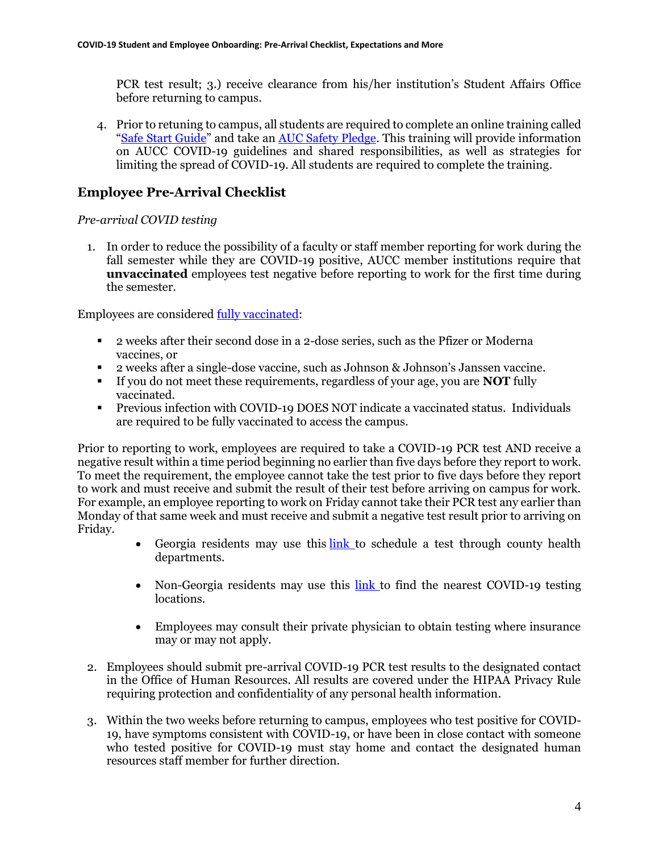PCR test result; 3.) receive clearance from his/her institution's Student Affairs Office before returning to campus.

4. Prior to retuning to campus, all students are required to complete an online training called "Safe [Start Guide](https://aucenter.edu/spring-2021-safe-start/)" and take an [AUC Safety Pledge.](https://aucenter.edu/aucc-responsibility-pledge/) This training will provide information on AUCC COVID-19 guidelines and shared responsibilities, as well as strategies for limiting the spread of COVID-19. All students are required to complete the training.

### **Employee Pre-Arrival Checklist**

#### *Pre-arrival COVID testing*

1. In order to reduce the possibility of a faculty or staff member reporting for work during the fall semester while they are COVID-19 positive, AUCC member institutions require that **unvaccinated** employees test negative before reporting to work for the first time during the semester.

Employees are considered [fully vaccinated:](https://www.cdc.gov/coronavirus/2019-ncov/vaccines/fully-vaccinated.html)

- 2 weeks after their second dose in a 2-dose series, such as the Pfizer or Moderna vaccines, or
- 2 weeks after a single-dose vaccine, such as Johnson & Johnson's Janssen vaccine.
- If you do not meet these requirements, regardless of your age, you are **NOT** fully vaccinated.
- Previous infection with COVID-19 DOES NOT indicate a vaccinated status. Individuals are required to be fully vaccinated to access the campus.

Prior to reporting to work, employees are required to take a COVID-19 PCR test AND receive a negative result within a time period beginning no earlier than five days before they report to work. To meet the requirement, the employee cannot take the test prior to five days before they report to work and must receive and submit the result of their test before arriving on campus for work. For example, an employee reporting to work on Friday cannot take their PCR test any earlier than Monday of that same week and must receive and submit a negative test result prior to arriving on Friday.

- Georgia residents may use this [link](https://dph.georgia.gov/covidtesting) to schedule a test through county health departments.
- Non-Georgia residents may use this [link](https://www.hhs.gov/coronavirus/community-based-testing-sites/index.html) to find the nearest COVID-19 testing locations.
- Employees may consult their private physician to obtain testing where insurance may or may not apply.
- 2. Employees should submit pre-arrival COVID-19 PCR test results to the designated contact in the Office of Human Resources. All results are covered under the HIPAA Privacy Rule requiring protection and confidentiality of any personal health information.
- 3. Within the two weeks before returning to campus, employees who test positive for COVID-19, have symptoms consistent with COVID-19, or have been in close contact with someone who tested positive for COVID-19 must stay home and contact the designated human resources staff member for further direction.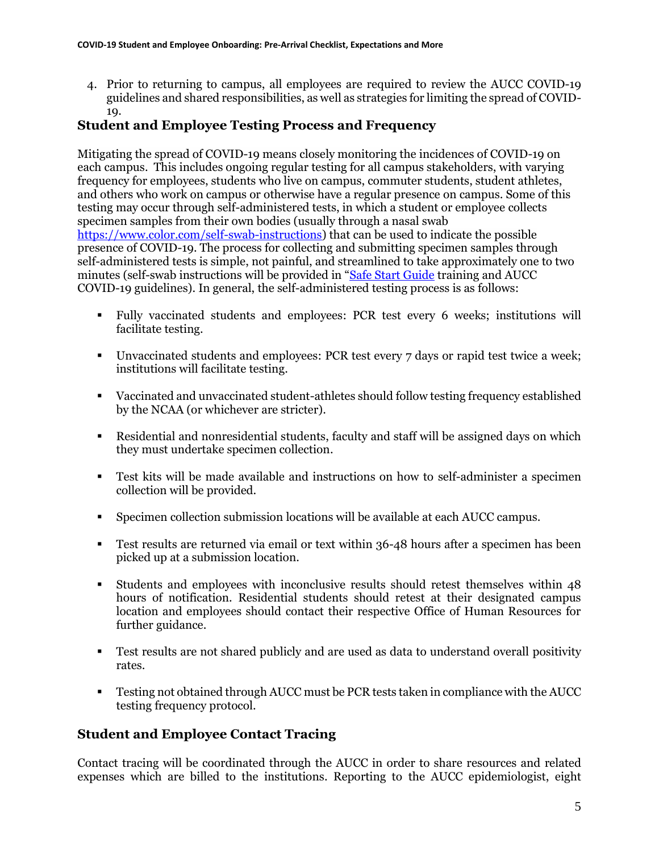4. Prior to returning to campus, all employees are required to review the AUCC COVID-19 guidelines and shared responsibilities, as well as strategies for limiting the spread of COVID-19.

### **Student and Employee Testing Process and Frequency**

Mitigating the spread of COVID-19 means closely monitoring the incidences of COVID-19 on each campus. This includes ongoing regular testing for all campus stakeholders, with varying frequency for employees, students who live on campus, commuter students, student athletes, and others who work on campus or otherwise have a regular presence on campus. Some of this testing may occur through self-administered tests, in which a student or employee collects specimen samples from their own bodies (usually through a nasal swab [https://www.color.com/self-swab-instructions\)](https://www.color.com/self-swab-instructions) that can be used to indicate the possible presence of COVID-19. The process for collecting and submitting specimen samples through self-administered tests is simple, not painful, and streamlined to take approximately one to two minutes (self-swab instructions will be provided in "[Safe Start Guide](https://aucenter.edu/spring-2021-safe-start/) training and AUCC COVID-19 guidelines). In general, the self-administered testing process is as follows:

- Fully vaccinated students and employees: PCR test every 6 weeks; institutions will facilitate testing.
- Unvaccinated students and employees: PCR test every 7 days or rapid test twice a week; institutions will facilitate testing.
- Vaccinated and unvaccinated student-athletes should follow testing frequency established by the NCAA (or whichever are stricter).
- Residential and nonresidential students, faculty and staff will be assigned days on which they must undertake specimen collection.
- Test kits will be made available and instructions on how to self-administer a specimen collection will be provided.
- Specimen collection submission locations will be available at each AUCC campus.
- **•** Test results are returned via email or text within 36-48 hours after a specimen has been picked up at a submission location.
- Students and employees with inconclusive results should retest themselves within 48 hours of notification. Residential students should retest at their designated campus location and employees should contact their respective Office of Human Resources for further guidance.
- Test results are not shared publicly and are used as data to understand overall positivity rates.
- **EXECUTE:** Testing not obtained through AUCC must be PCR tests taken in compliance with the AUCC testing frequency protocol.

# **Student and Employee Contact Tracing**

Contact tracing will be coordinated through the AUCC in order to share resources and related expenses which are billed to the institutions. Reporting to the AUCC epidemiologist, eight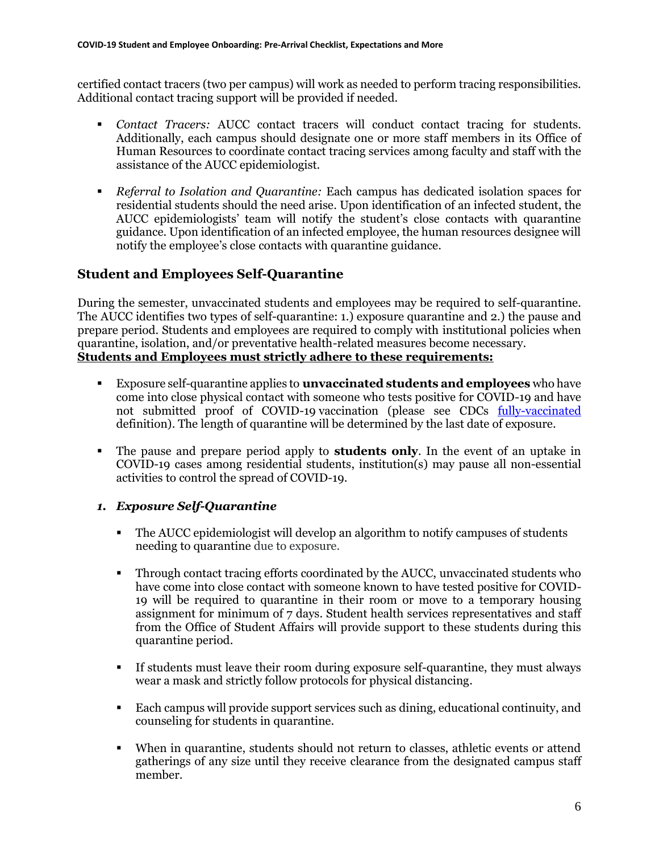certified contact tracers (two per campus) will work as needed to perform tracing responsibilities. Additional contact tracing support will be provided if needed.

- *Contact Tracers:* AUCC contact tracers will conduct contact tracing for students. Additionally, each campus should designate one or more staff members in its Office of Human Resources to coordinate contact tracing services among faculty and staff with the assistance of the AUCC epidemiologist.
- *Referral to Isolation and Quarantine:* Each campus has dedicated isolation spaces for residential students should the need arise. Upon identification of an infected student, the AUCC epidemiologists' team will notify the student's close contacts with quarantine guidance. Upon identification of an infected employee, the human resources designee will notify the employee's close contacts with quarantine guidance.

### **Student and Employees Self-Quarantine**

During the semester, unvaccinated students and employees may be required to self-quarantine. The AUCC identifies two types of self-quarantine: 1.) exposure quarantine and 2.) the pause and prepare period. Students and employees are required to comply with institutional policies when quarantine, isolation, and/or preventative health-related measures become necessary. **Students and Employees must strictly adhere to these requirements:** 

- Exposure self-quarantine applies to **unvaccinated students and employees** who have come into close physical contact with someone who tests positive for COVID-19 and have not submitted proof of COVID-19 vaccination (please see CDCs [fully-vaccinated](https://www.cdc.gov/coronavirus/2019-ncov/vaccines/fully-vaccinated.html) definition). The length of quarantine will be determined by the last date of exposure.
- The pause and prepare period apply to **students only**. In the event of an uptake in COVID-19 cases among residential students, institution(s) may pause all non-essential activities to control the spread of COVID-19.

#### *1. Exposure Self-Quarantine*

- The AUCC epidemiologist will develop an algorithm to notify campuses of students needing to quarantine due to exposure.
- Through contact tracing efforts coordinated by the AUCC, unvaccinated students who have come into close contact with someone known to have tested positive for COVID-19 will be required to quarantine in their room or move to a temporary housing assignment for minimum of 7 days. Student health services representatives and staff from the Office of Student Affairs will provide support to these students during this quarantine period.
- If students must leave their room during exposure self-quarantine, they must always wear a mask and strictly follow protocols for physical distancing.
- Each campus will provide support services such as dining, educational continuity, and counseling for students in quarantine.
- When in quarantine, students should not return to classes, athletic events or attend gatherings of any size until they receive clearance from the designated campus staff member.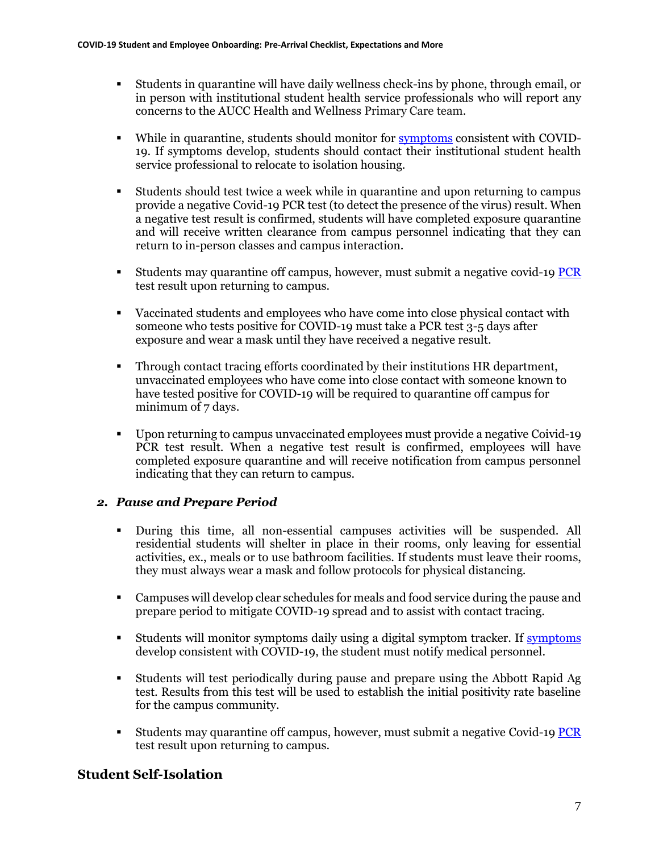- Students in quarantine will have daily wellness check-ins by phone, through email, or in person with institutional student health service professionals who will report any concerns to the AUCC Health and Wellness Primary Care team.
- While in quarantine, students should monitor for [symptoms](https://www.cdc.gov/coronavirus/2019-ncov/symptoms-testing/symptoms.html) consistent with COVID-19. If symptoms develop, students should contact their institutional student health service professional to relocate to isolation housing.
- Students should test twice a week while in quarantine and upon returning to campus provide a negative Covid-19 PCR test (to detect the presence of the virus) result. When a negative test result is confirmed, students will have completed exposure quarantine and will receive written clearance from campus personnel indicating that they can return to in-person classes and campus interaction.
- Students may quarantine off campus, however, must submit a negative covid-19 [PCR](https://dph.georgia.gov/covidtesting) test result upon returning to campus.
- Vaccinated students and employees who have come into close physical contact with someone who tests positive for COVID-19 must take a PCR test 3-5 days after exposure and wear a mask until they have received a negative result.
- Through contact tracing efforts coordinated by their institutions HR department, unvaccinated employees who have come into close contact with someone known to have tested positive for COVID-19 will be required to quarantine off campus for minimum of 7 days.
- Upon returning to campus unvaccinated employees must provide a negative Coivid-19 PCR test result. When a negative test result is confirmed, employees will have completed exposure quarantine and will receive notification from campus personnel indicating that they can return to campus.

### *2. Pause and Prepare Period*

- During this time, all non-essential campuses activities will be suspended. All residential students will shelter in place in their rooms, only leaving for essential activities, ex., meals or to use bathroom facilities. If students must leave their rooms, they must always wear a mask and follow protocols for physical distancing.
- Campuses will develop clear schedules for meals and food service during the pause and prepare period to mitigate COVID-19 spread and to assist with contact tracing.
- Students will monitor symptoms daily using a digital symptom tracker. If [symptoms](https://www.cdc.gov/coronavirus/2019-ncov/symptoms-testing/symptoms.html) develop consistent with COVID-19, the student must notify medical personnel.
- Students will test periodically during pause and prepare using the Abbott Rapid Ag test. Results from this test will be used to establish the initial positivity rate baseline for the campus community.
- Students may quarantine off campus, however, must submit a negative Covid-1[9 PCR](https://dph.georgia.gov/covidtesting) test result upon returning to campus.

# **Student Self-Isolation**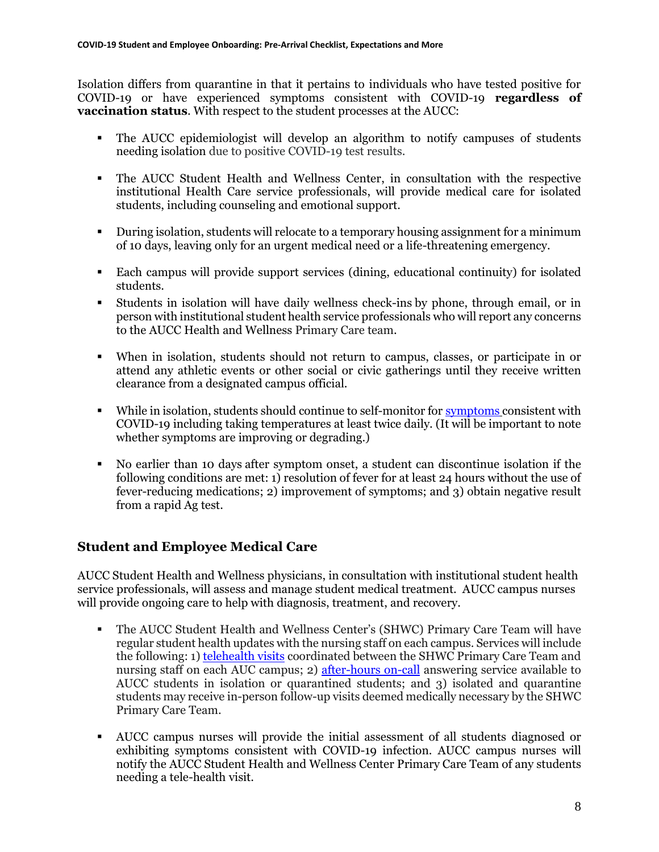Isolation differs from quarantine in that it pertains to individuals who have tested positive for COVID-19 or have experienced symptoms consistent with COVID-19 **regardless of vaccination status**. With respect to the student processes at the AUCC:

- The AUCC epidemiologist will develop an algorithm to notify campuses of students needing isolation due to positive COVID-19 test results.
- The AUCC Student Health and Wellness Center, in consultation with the respective institutional Health Care service professionals, will provide medical care for isolated students, including counseling and emotional support.
- During isolation, students will relocate to a temporary housing assignment for a minimum of 10 days, leaving only for an urgent medical need or a life-threatening emergency.
- Each campus will provide support services (dining, educational continuity) for isolated students.
- Students in isolation will have daily wellness check-ins by phone, through email, or in person with institutional student health service professionals who will report any concerns to the AUCC Health and Wellness Primary Care team.
- When in isolation, students should not return to campus, classes, or participate in or attend any athletic events or other social or civic gatherings until they receive written clearance from a designated campus official.
- While in isolation, students should continue to self-monitor for [symptoms](https://www.cdc.gov/coronavirus/2019-ncov/symptoms-testing/symptoms.html) consistent with COVID-19 including taking temperatures at least twice daily. (It will be important to note whether symptoms are improving or degrading.)
- No earlier than 10 days after symptom onset, a student can discontinue isolation if the following conditions are met: 1) resolution of fever for at least 24 hours without the use of fever-reducing medications; 2) improvement of symptoms; and 3) obtain negative result from a rapid Ag test.

# **Student and Employee Medical Care**

AUCC Student Health and Wellness physicians, in consultation with institutional student health service professionals, will assess and manage student medical treatment. AUCC campus nurses will provide ongoing care to help with diagnosis, treatment, and recovery.

- The AUCC Student Health and Wellness Center's (SHWC) Primary Care Team will have regular student health updates with the nursing staff on each campus. Services will include the following: 1[\) telehealth visits](https://www.msm.edu/Current_Students/student-health/schedule-appointment.php) coordinated between the SHWC Primary Care Team and nursing staff on each AUC campus; 2) [after-hours on-call](https://www.msm.edu/Current_Students/student-health/locations.php) answering service available to AUCC students in isolation or quarantined students; and 3) isolated and quarantine students may receive in-person follow-up visits deemed medically necessary by the SHWC Primary Care Team.
- AUCC campus nurses will provide the initial assessment of all students diagnosed or exhibiting symptoms consistent with COVID-19 infection. AUCC campus nurses will notify the AUCC Student Health and Wellness Center Primary Care Team of any students needing a tele-health visit.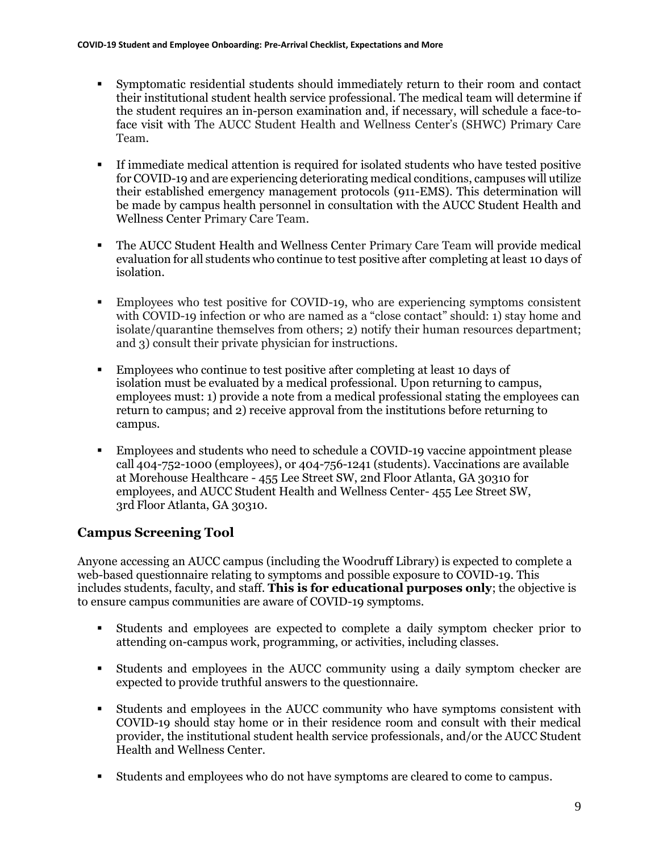- Symptomatic residential students should immediately return to their room and contact their institutional student health service professional. The medical team will determine if the student requires an in-person examination and, if necessary, will schedule a face-toface visit with The AUCC Student Health and Wellness Center's (SHWC) Primary Care Team.
- If immediate medical attention is required for isolated students who have tested positive for COVID-19 and are experiencing deteriorating medical conditions, campuses will utilize their established emergency management protocols (911-EMS). This determination will be made by campus health personnel in consultation with the AUCC Student Health and Wellness Center Primary Care Team.
- The AUCC Student Health and Wellness Center Primary Care Team will provide medical evaluation for all students who continue to test positive after completing at least 10 days of isolation.
- Employees who test positive for COVID-19, who are experiencing symptoms consistent with COVID-19 infection or who are named as a "close contact" should: 1) stay home and isolate/quarantine themselves from others; 2) notify their human resources department; and 3) consult their private physician for instructions.
- Employees who continue to test positive after completing at least 10 days of isolation must be evaluated by a medical professional. Upon returning to campus, employees must: 1) provide a note from a medical professional stating the employees can return to campus; and 2) receive approval from the institutions before returning to campus.
- Employees and students who need to schedule a COVID-19 vaccine appointment please call 404-752-1000 (employees), or 404-756-1241 (students). Vaccinations are available at Morehouse Healthcare - 455 Lee Street SW, 2nd Floor Atlanta, GA 30310 for employees, and AUCC Student Health and Wellness Center- 455 Lee Street SW, 3rd Floor Atlanta, GA 30310.

# **Campus Screening Tool**

Anyone accessing an AUCC campus (including the Woodruff Library) is expected to complete a web-based questionnaire relating to symptoms and possible exposure to COVID-19. This includes students, faculty, and staff. **This is for educational purposes only**; the objective is to ensure campus communities are aware of COVID-19 symptoms.

- Students and employees are expected to complete a daily symptom checker prior to attending on-campus work, programming, or activities, including classes.
- Students and employees in the AUCC community using a daily symptom checker are expected to provide truthful answers to the questionnaire.
- Students and employees in the AUCC community who have symptoms consistent with COVID-19 should stay home or in their residence room and consult with their medical provider, the institutional student health service professionals, and/or the AUCC Student Health and Wellness Center.
- Students and employees who do not have symptoms are cleared to come to campus.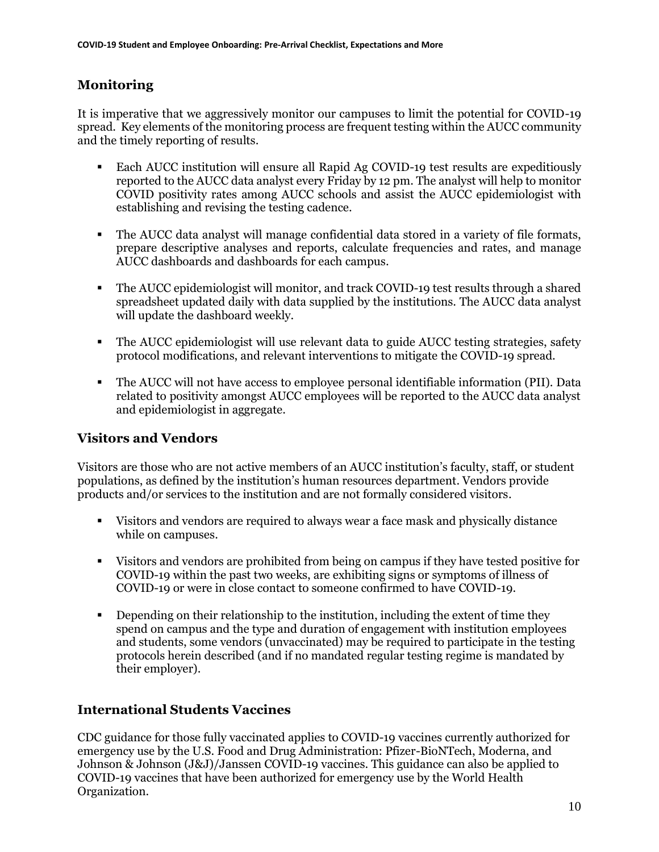# **Monitoring**

It is imperative that we aggressively monitor our campuses to limit the potential for COVID-19 spread. Key elements of the monitoring process are frequent testing within the AUCC community and the timely reporting of results.

- Each AUCC institution will ensure all Rapid Ag COVID-19 test results are expeditiously reported to the AUCC data analyst every Friday by 12 pm. The analyst will help to monitor COVID positivity rates among AUCC schools and assist the AUCC epidemiologist with establishing and revising the testing cadence.
- The AUCC data analyst will manage confidential data stored in a variety of file formats, prepare descriptive analyses and reports, calculate frequencies and rates, and manage AUCC dashboards and dashboards for each campus.
- The AUCC epidemiologist will monitor, and track COVID-19 test results through a shared spreadsheet updated daily with data supplied by the institutions. The AUCC data analyst will update the dashboard weekly.
- **•** The AUCC epidemiologist will use relevant data to guide AUCC testing strategies, safety protocol modifications, and relevant interventions to mitigate the COVID-19 spread.
- The AUCC will not have access to employee personal identifiable information (PII). Data related to positivity amongst AUCC employees will be reported to the AUCC data analyst and epidemiologist in aggregate.

# **Visitors and Vendors**

Visitors are those who are not active members of an AUCC institution's faculty, staff, or student populations, as defined by the institution's human resources department. Vendors provide products and/or services to the institution and are not formally considered visitors.

- Visitors and vendors are required to always wear a face mask and physically distance while on campuses.
- Visitors and vendors are prohibited from being on campus if they have tested positive for COVID-19 within the past two weeks, are exhibiting signs or symptoms of illness of COVID-19 or were in close contact to someone confirmed to have COVID-19.
- Depending on their relationship to the institution, including the extent of time they spend on campus and the type and duration of engagement with institution employees and students, some vendors (unvaccinated) may be required to participate in the testing protocols herein described (and if no mandated regular testing regime is mandated by their employer).

# **International Students Vaccines**

CDC guidance for those fully vaccinated applies to COVID-19 vaccines currently authorized for emergency use by the U.S. Food and Drug Administration: Pfizer-BioNTech, Moderna, and Johnson & Johnson (J&J)/Janssen COVID-19 vaccines. This guidance can also be applied to COVID-19 vaccines that have been authorized for emergency use by the World Health Organization.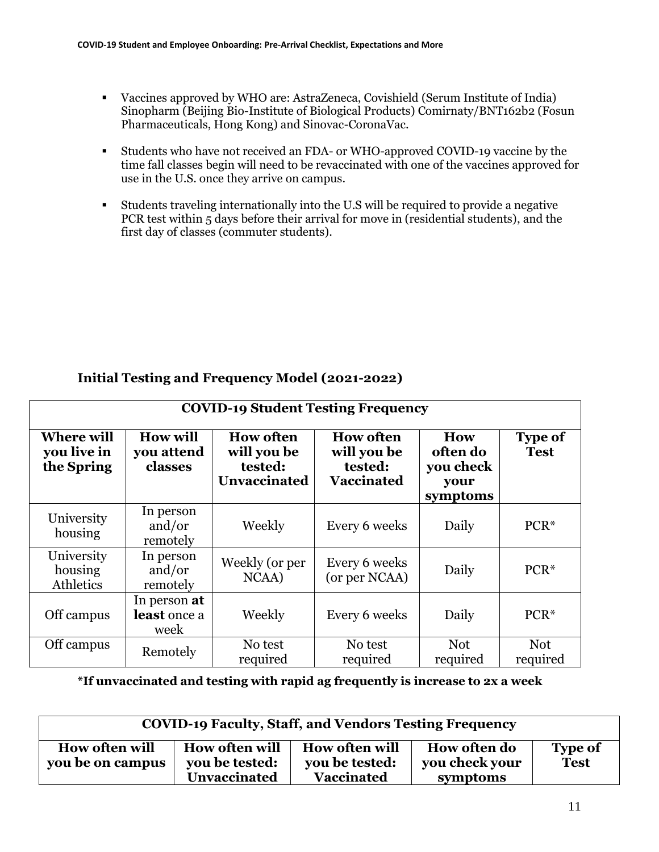- Vaccines approved by WHO are: AstraZeneca, Covishield (Serum Institute of India) Sinopharm (Beijing Bio-Institute of Biological Products) Comirnaty/BNT162b2 (Fosun Pharmaceuticals, Hong Kong) and Sinovac-CoronaVac.
- Students who have not received an FDA- or WHO-approved COVID-19 vaccine by the time fall classes begin will need to be revaccinated with one of the vaccines approved for use in the U.S. once they arrive on campus.
- Students traveling internationally into the U.S will be required to provide a negative PCR test within 5 days before their arrival for move in (residential students), and the first day of classes (commuter students).

### **Initial Testing and Frequency Model (2021-2022)**

| <b>COVID-19 Student Testing Frequency</b>      |                                          |                                                                   |                                                                 |                                                  |                               |
|------------------------------------------------|------------------------------------------|-------------------------------------------------------------------|-----------------------------------------------------------------|--------------------------------------------------|-------------------------------|
| <b>Where will</b><br>you live in<br>the Spring | <b>How will</b><br>you attend<br>classes | <b>How often</b><br>will you be<br>tested:<br><b>Unvaccinated</b> | <b>How often</b><br>will you be<br>tested:<br><b>Vaccinated</b> | How<br>often do<br>you check<br>your<br>symptoms | <b>Type of</b><br><b>Test</b> |
| University<br>housing                          | In person<br>and/or<br>remotely          | Weekly                                                            | Every 6 weeks                                                   | Daily                                            | $PCR*$                        |
| University<br>housing<br>Athletics             | In person<br>and/or<br>remotely          | Weekly (or per<br>NCAA)                                           | Every 6 weeks<br>(or per NCAA)                                  | Daily                                            | $PCR*$                        |
| Off campus                                     | In person at<br>least once a<br>week     | Weekly                                                            | Every 6 weeks                                                   | Daily                                            | $PCR*$                        |
| Off campus                                     | Remotely                                 | No test<br>required                                               | No test<br>required                                             | <b>Not</b><br>required                           | <b>Not</b><br>required        |

**\*If unvaccinated and testing with rapid ag frequently is increase to 2x a week**

| <b>COVID-19 Faculty, Staff, and Vendors Testing Frequency</b> |                                                         |                                                              |                                                   |                               |
|---------------------------------------------------------------|---------------------------------------------------------|--------------------------------------------------------------|---------------------------------------------------|-------------------------------|
| <b>How often will</b><br>you be on campus                     | <b>How often will</b><br>you be tested:<br>Unvaccinated | <b>How often will</b><br>you be tested:<br><b>Vaccinated</b> | <b>How often do</b><br>you check your<br>symptoms | <b>Type of</b><br><b>Test</b> |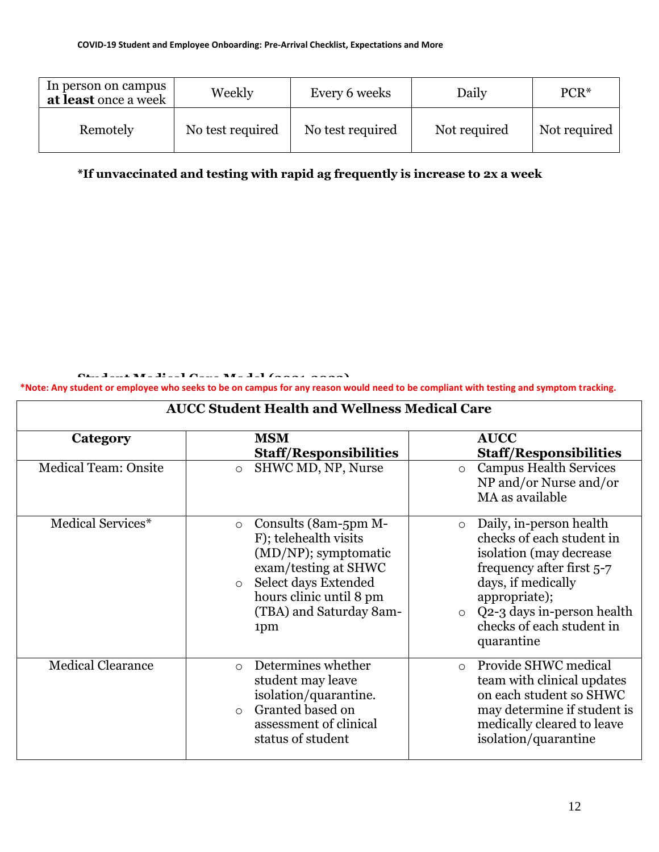| In person on campus<br>at least once a week | Weekly           | Every 6 weeks    | Daily        | $PCR*$       |
|---------------------------------------------|------------------|------------------|--------------|--------------|
| Remotely                                    | No test required | No test required | Not required | Not required |

**\*If unvaccinated and testing with rapid ag frequently is increase to 2x a week**

**Student Medical Care Model (2021-2022)**

**\*Note: Any student or employee who seeks to be on campus for any reason would need to be compliant with testing and symptom tracking.**

| <b>AUCC Student Health and Wellness Medical Care</b> |                                                                                                                                                                                                          |                                                                                                                                                                                                                                                 |  |
|------------------------------------------------------|----------------------------------------------------------------------------------------------------------------------------------------------------------------------------------------------------------|-------------------------------------------------------------------------------------------------------------------------------------------------------------------------------------------------------------------------------------------------|--|
| Category                                             | <b>MSM</b><br><b>Staff/Responsibilities</b>                                                                                                                                                              | <b>AUCC</b><br><b>Staff/Responsibilities</b>                                                                                                                                                                                                    |  |
| <b>Medical Team: Onsite</b>                          | SHWC MD, NP, Nurse<br>$\circ$                                                                                                                                                                            | <b>Campus Health Services</b><br>$\circ$<br>NP and/or Nurse and/or<br>MA as available                                                                                                                                                           |  |
| Medical Services*                                    | Consults (8am-5pm M-<br>$\circ$<br>F); telehealth visits<br>(MD/NP); symptomatic<br>exam/testing at SHWC<br>Select days Extended<br>$\circ$<br>hours clinic until 8 pm<br>(TBA) and Saturday 8am-<br>1pm | Daily, in-person health<br>$\circ$<br>checks of each student in<br>isolation (may decrease<br>frequency after first 5-7<br>days, if medically<br>appropriate);<br>$\circ$ Q2-3 days in-person health<br>checks of each student in<br>quarantine |  |
| <b>Medical Clearance</b>                             | Determines whether<br>$\circ$<br>student may leave<br>isolation/quarantine.<br>Granted based on<br>$\circ$<br>assessment of clinical<br>status of student                                                | Provide SHWC medical<br>$\circ$<br>team with clinical updates<br>on each student so SHWC<br>may determine if student is<br>medically cleared to leave<br>isolation/quarantine                                                                   |  |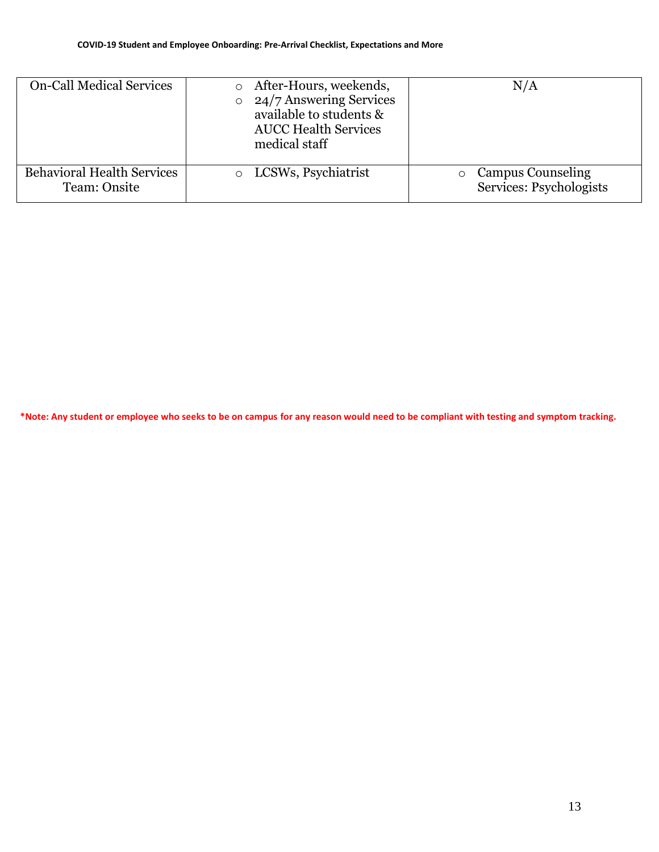| <b>On-Call Medical Services</b>                   | After-Hours, weekends,<br>$\circ$ 24/7 Answering Services<br>available to students &<br><b>AUCC Health Services</b><br>medical staff | N/A                                                 |
|---------------------------------------------------|--------------------------------------------------------------------------------------------------------------------------------------|-----------------------------------------------------|
| <b>Behavioral Health Services</b><br>Team: Onsite | o LCSWs, Psychiatrist                                                                                                                | <b>Campus Counseling</b><br>Services: Psychologists |

\*Note: Any student or employee who seeks to be on campus for any reason would need to be compliant with testing and symptom tracking.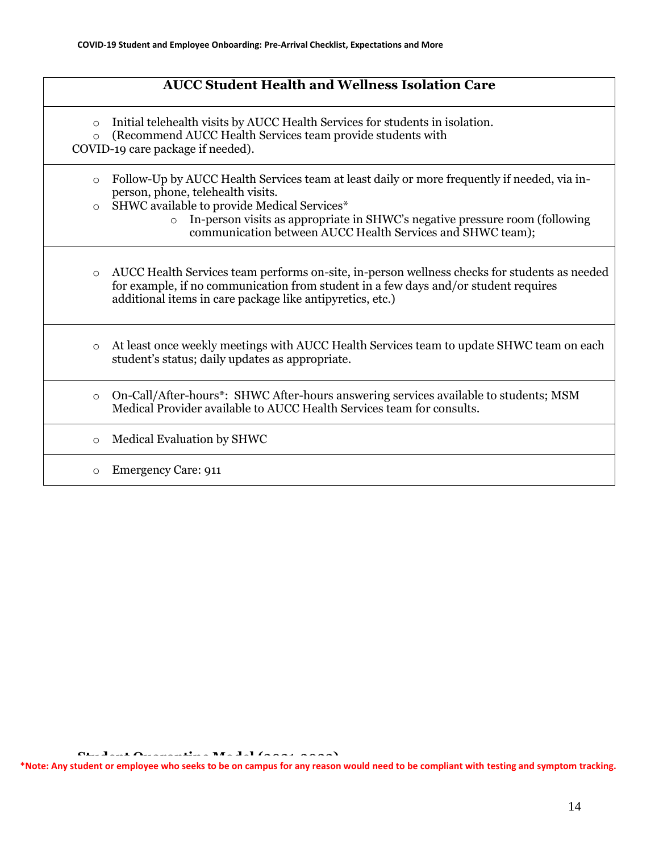| <b>AUCC Student Health and Wellness Isolation Care</b>                                                                                                                                                                                                                                                                                                        |
|---------------------------------------------------------------------------------------------------------------------------------------------------------------------------------------------------------------------------------------------------------------------------------------------------------------------------------------------------------------|
| Initial telehealth visits by AUCC Health Services for students in isolation.<br>$\circ$<br>(Recommend AUCC Health Services team provide students with<br>$\circ$<br>COVID-19 care package if needed).                                                                                                                                                         |
| Follow-Up by AUCC Health Services team at least daily or more frequently if needed, via in-<br>$\circ$<br>person, phone, telehealth visits.<br>SHWC available to provide Medical Services*<br>$\circ$<br>In-person visits as appropriate in SHWC's negative pressure room (following<br>$\circ$<br>communication between AUCC Health Services and SHWC team); |
| AUCC Health Services team performs on-site, in-person wellness checks for students as needed<br>$\circ$<br>for example, if no communication from student in a few days and/or student requires<br>additional items in care package like antipyretics, etc.)                                                                                                   |
| At least once weekly meetings with AUCC Health Services team to update SHWC team on each<br>$\circ$<br>student's status; daily updates as appropriate.                                                                                                                                                                                                        |
| On-Call/After-hours*: SHWC After-hours answering services available to students; MSM<br>$\circ$<br>Medical Provider available to AUCC Health Services team for consults.                                                                                                                                                                                      |
| Medical Evaluation by SHWC<br>$\circ$                                                                                                                                                                                                                                                                                                                         |
| <b>Emergency Care: 911</b><br>$\circ$                                                                                                                                                                                                                                                                                                                         |

**Student Quarantine Model (2021-2022) \*Note: Any student or employee who seeks to be on campus for any reason would need to be compliant with testing and symptom tracking.**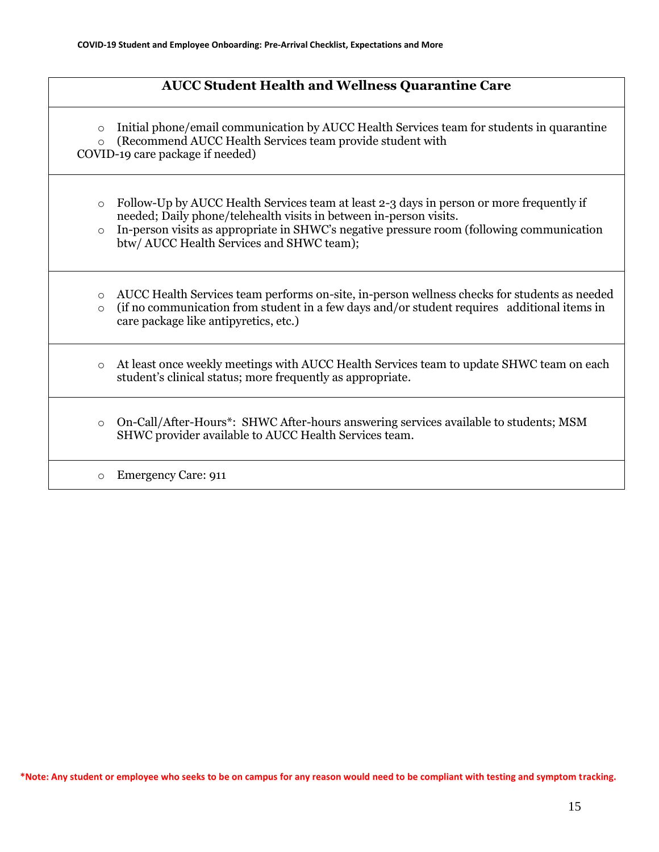### **AUCC Student Health and Wellness Quarantine Care**

 $\circ$  Initial phone/email communication by AUCC Health Services team for students in quarantine o (Recommend AUCC Health Services team provide student with

COVID-19 care package if needed)

- $\circ$  Follow-Up by AUCC Health Services team at least 2-3 days in person or more frequently if needed; Daily phone/telehealth visits in between in-person visits.
- $\circ$  In-person visits as appropriate in SHWC's negative pressure room (following communication btw/ AUCC Health Services and SHWC team);
- o AUCC Health Services team performs on-site, in-person wellness checks for students as needed
- o (if no communication from student in a few days and/or student requires additional items in care package like antipyretics, etc.)
- o At least once weekly meetings with AUCC Health Services team to update SHWC team on each student's clinical status; more frequently as appropriate.
- o On-Call/After-Hours\*: SHWC After-hours answering services available to students; MSM SHWC provider available to AUCC Health Services team.

o Emergency Care: 911

**\*Note: Any student or employee who seeks to be on campus for any reason would need to be compliant with testing and symptom t Student Behavior Health Model (2021-2022) racking.**